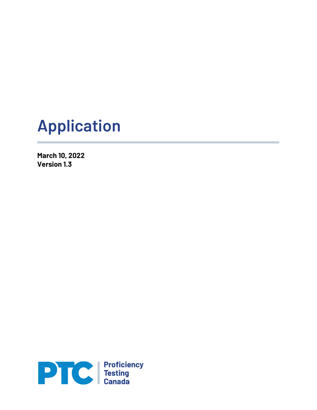# **Application**

**March 10, 2022 Version 1.3**

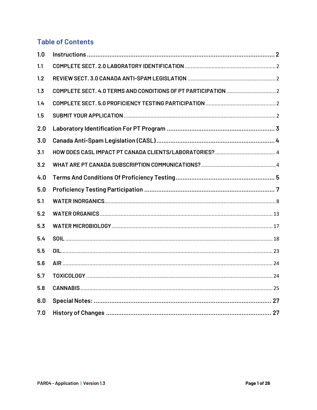# **Table of Contents**

| 1.0 |  |
|-----|--|
| 1.1 |  |
| 1.2 |  |
| 1.3 |  |
| 1.4 |  |
| 1.5 |  |
| 2.0 |  |
| 3.0 |  |
| 3.1 |  |
| 3.2 |  |
| 4.0 |  |
|     |  |
| 5.0 |  |
| 5.1 |  |
| 5.2 |  |
| 5.3 |  |
| 5.4 |  |
| 5.5 |  |
| 5.6 |  |
| 5.7 |  |
| 5.8 |  |
| 6.0 |  |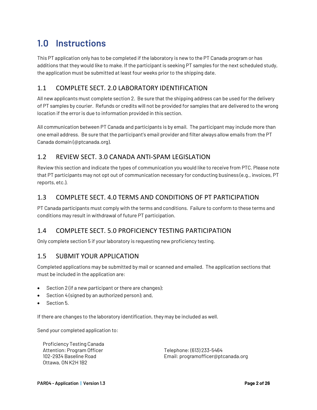# **1.0 Instructions**

This PT application only has to be completed if the laboratory is new to the PT Canada program or has additions that they would like to make. If the participant is seeking PT samples for the next scheduled study, the application must be submitted at least four weeks prior to the shipping date.

#### 1.1 COMPLETE SECT. 2.0 LABORATORY IDENTIFICATION

All new applicants must complete section 2. Be sure that the shipping address can be used for the delivery of PT samples by courier. Refunds or credits will not be provided for samples that are delivered to the wrong location if the error is due to information provided in this section.

All communication between PT Canada and participants is by email. The participant may include more than one email address. Be sure that the participant's email provider and filter always allow emails from the PT Canada domain (@ptcanada.org).

### 1.2 REVIEW SECT. 3.0 CANADA ANTI-SPAM LEGISLATION

Review this section and indicate the types of communication you would like to receive from PTC. Please note that PT participants may not opt out of communication necessary for conducting business (e.g., invoices, PT reports, etc.).

### 1.3 COMPLETE SECT. 4.0 TERMS AND CONDITIONS OF PT PARTICIPATION

PT Canada participants must comply with the terms and conditions. Failure to conform to these terms and conditions may result in withdrawal of future PT participation.

### 1.4 COMPLETE SECT. 5.0 PROFICIENCY TESTING PARTICIPATION

Only complete section 5 if your laboratory is requesting new proficiency testing.

#### 1.5 SUBMIT YOUR APPLICATION

Completed applications may be submitted by mail or scanned and emailed. The application sections that must be included in the application are:

- Section 2 (if a new participant or there are changes);
- Section 4 (signed by an authorized person); and,
- Section 5.

If there are changes to the laboratory identification, they may be included as well.

Send your completed application to:

Proficiency Testing Canada Attention: Program Officer 102-2934 Baseline Road Ottawa, ON K2H 1B2

Telephone: (613) 233-5464 Email: programofficer@ptcanada.org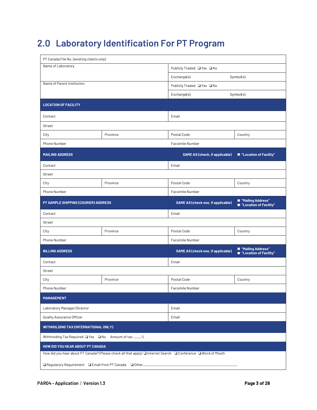# **2.0 Laboratory Identification For PT Program**

| PT Canada File No. (existing clients only)                                                                 |                                                                                  |                                           |                                                 |  |  |  |  |
|------------------------------------------------------------------------------------------------------------|----------------------------------------------------------------------------------|-------------------------------------------|-------------------------------------------------|--|--|--|--|
| Name of Laboratory                                                                                         |                                                                                  | Publicly Traded: QYes QNo                 |                                                 |  |  |  |  |
|                                                                                                            |                                                                                  | Exchange(s):<br>$Symbol(s)$ :             |                                                 |  |  |  |  |
| Name of Parent Institution                                                                                 |                                                                                  | Publicly Traded: □ Yes □ No               |                                                 |  |  |  |  |
|                                                                                                            |                                                                                  | Exchange(s):                              | Symbol(s):                                      |  |  |  |  |
| <b>LOCATION OF FACILITY</b>                                                                                |                                                                                  |                                           |                                                 |  |  |  |  |
| Contact                                                                                                    |                                                                                  | Email                                     |                                                 |  |  |  |  |
| Street                                                                                                     |                                                                                  |                                           |                                                 |  |  |  |  |
| City                                                                                                       | Province                                                                         | Postal Code                               | Country                                         |  |  |  |  |
| Phone Number                                                                                               |                                                                                  | Facsimile Number                          |                                                 |  |  |  |  |
| <b>MAILING ADDRESS</b>                                                                                     |                                                                                  | <b>SAME AS (check, if applicable)</b>     | ■ "Location of Facility"                        |  |  |  |  |
| Contact                                                                                                    |                                                                                  | Email                                     |                                                 |  |  |  |  |
| Street                                                                                                     |                                                                                  |                                           |                                                 |  |  |  |  |
| City                                                                                                       | Province                                                                         | Postal Code                               | Country                                         |  |  |  |  |
| Phone Number                                                                                               |                                                                                  | Facsimile Number                          |                                                 |  |  |  |  |
| PT SAMPLE SHIPPING (COURIER) ADDRESS                                                                       |                                                                                  | <b>SAME AS (check one, if applicable)</b> | ■ "Mailing Address"<br>■ "Location of Facility" |  |  |  |  |
| Contact                                                                                                    |                                                                                  | Email                                     |                                                 |  |  |  |  |
| Street                                                                                                     |                                                                                  |                                           |                                                 |  |  |  |  |
| City                                                                                                       | Province                                                                         | Postal Code                               | Country                                         |  |  |  |  |
| Phone Number                                                                                               |                                                                                  | Facsimile Number                          |                                                 |  |  |  |  |
| <b>BILLING ADDRESS</b>                                                                                     |                                                                                  | <b>SAME AS (check one, if applicable)</b> | ■ "Mailing Address"<br>■ "Location of Facility" |  |  |  |  |
| Contact                                                                                                    |                                                                                  | Email                                     |                                                 |  |  |  |  |
| Street                                                                                                     |                                                                                  |                                           |                                                 |  |  |  |  |
| City                                                                                                       | Province                                                                         | Postal Code                               | Country                                         |  |  |  |  |
| Phone Number                                                                                               |                                                                                  | Facsimile Number                          |                                                 |  |  |  |  |
| <b>MANAGEMENT</b>                                                                                          |                                                                                  |                                           |                                                 |  |  |  |  |
| Laboratory Manager/Director                                                                                |                                                                                  | Email                                     |                                                 |  |  |  |  |
| Quality Assurance Officer                                                                                  |                                                                                  | Email                                     |                                                 |  |  |  |  |
| <b>WITHHOLDING TAX (INTERNATIONAL ONLY)</b>                                                                |                                                                                  |                                           |                                                 |  |  |  |  |
| Withholding Tax Required: ■ Yes ■ No Amount of tax: ____%                                                  |                                                                                  |                                           |                                                 |  |  |  |  |
| HOW DID YOU HEAR ABOUT PT CANADA                                                                           |                                                                                  |                                           |                                                 |  |  |  |  |
| How did you hear about PT Canada? (Please check all that apply) Internet Search IConference IWord of Mouth |                                                                                  |                                           |                                                 |  |  |  |  |
|                                                                                                            | □ Regulatory Requirement □ Email from PT Canada □ Other_________________________ |                                           |                                                 |  |  |  |  |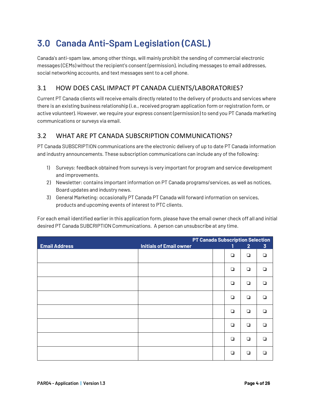# **3.0 Canada Anti-Spam Legislation (CASL)**

Canada's anti-spam law, among other things, will mainly prohibit the sending of commercial electronic messages (CEMs) without the recipient's consent (permission), including messages to email addresses, social networking accounts, and text messages sent to a cell phone.

### 3.1 HOW DOES CASL IMPACT PT CANADA CLIENTS/LABORATORIES?

Current PT Canada clients will receive emails directly related to the delivery of products and services where there is an existing business relationship (i.e., received program application form or registration form, or active volunteer). However, we require your express consent (permission) to send you PT Canada marketing communications or surveys via email.

#### 3.2 WHAT ARE PT CANADA SUBSCRIPTION COMMUNICATIONS?

PT Canada SUBSCRIPTION communications are the electronic delivery of up to date PT Canada information and industry announcements. These subscription communications can include any of the following:

- 1) Surveys: feedback obtained from surveys is very important for program and service development and improvements.
- 2) Newsletter: contains important information on PT Canada programs/services, as well as notices, Board updates and industry news.
- 3) General Marketing: occasionally PT Canada PT Canada will forward information on services, products and upcoming events of interest to PTC clients.

For each email identified earlier in this application form, please have the email owner check off all and initial desired PT Canada SUBCRIPTION Communications. A person can unsubscribe at any time.

|                      | <b>PT Canada Subscription Selection</b> |        |                |                |
|----------------------|-----------------------------------------|--------|----------------|----------------|
| <b>Email Address</b> | <b>Initials of Email owner</b>          | 1      | $\overline{2}$ | $\overline{3}$ |
|                      |                                         | $\Box$ | $\Box$         | $\Box$         |
|                      |                                         | $\Box$ | $\Box$         | $\Box$         |
|                      |                                         | $\Box$ | $\Box$         | $\Box$         |
|                      |                                         | ❏      | $\Box$         | $\Box$         |
|                      |                                         | $\Box$ | $\Box$         | $\Box$         |
|                      |                                         | $\Box$ | $\Box$         | $\Box$         |
|                      |                                         | $\Box$ | $\Box$         | ◘              |
|                      |                                         | $\Box$ | $\Box$         | $\Box$         |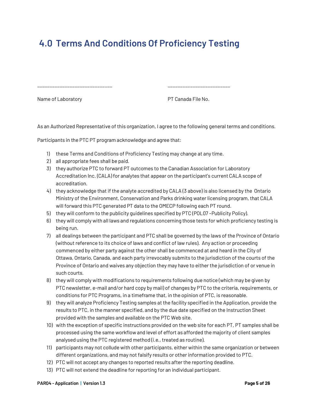# **4.0 Terms And Conditions Of Proficiency Testing**

\_\_\_\_\_\_\_\_\_\_\_\_\_\_\_\_\_\_\_\_\_\_\_\_\_\_\_\_\_\_ \_\_\_\_\_\_\_\_\_\_\_\_\_\_\_\_\_\_\_\_\_\_\_\_\_

Name of Laboratory extending the No. All the PT Canada File No.

As an Authorized Representative of this organization, I agree to the following general terms and conditions.

Participants in the PTC PT program acknowledge and agree that:

- 1) these Terms and Conditions of Proficiency Testing may change at any time.
- 2) all appropriate fees shall be paid.
- 3) they authorize PTC to forward PT outcomes to the Canadian Association for Laboratory Accreditation Inc. (CALA) for analytes that appear on the participant's current CALA scope of accreditation.
- 4) they acknowledge that if the analyte accredited by CALA (3 above) is also licensed by the Ontario Ministry of the Environment, Conservation and Parks drinking water licensing program, that CALA will forward this PTC generated PT data to the OMECP following each PT round.
- 5) they will conform to the publicity guidelines specified by PTC (POL07 –Publicity Policy).
- 6) they will comply with all laws and regulations concerning those tests for which proficiency testing is being run.
- 7) all dealings between the participant and PTC shall be governed by the laws of the Province of Ontario (without reference to its choice of laws and conflict of law rules). Any action or proceeding commenced by either party against the other shall be commenced at and heard in the City of Ottawa, Ontario, Canada, and each party irrevocably submits to the jurisdiction of the courts of the Province of Ontario and waives any objection they may have to either the jurisdiction of or venue in such courts.
- 8) they will comply with modifications to requirements following due notice (which may be given by PTC newsletter, e-mail and/or hard copy by mail) of changes by PTC to the criteria, requirements, or conditions for PTC Programs, in a timeframe that, in the opinion of PTC, is reasonable.
- 9) they will analyze Proficiency Testing samples at the facility specified in the Application, provide the results to PTC, in the manner specified, and by the due date specified on the Instruction Sheet provided with the samples and available on the PTC Web site.
- 10) with the exception of specific instructions provided on the web site for each PT, PT samples shall be processed using the same workflow and level of effort as afforded the majority of client samples analysed using the PTC registered method (i.e., treated as routine).
- 11) participants may not collude with other participants, either within the same organization or between different organizations, and may not falsify results or other information provided to PTC.
- 12) PTC will not accept any changes to reported results after the reporting deadline.
- 13) PTC will not extend the deadline for reporting for an individual participant.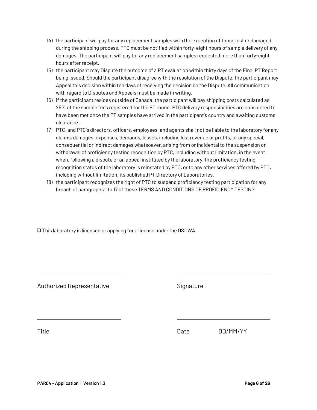- 14) the participant will pay for any replacement samples with the exception of those lost or damaged during the shipping process. PTC must be notified within forty-eight hours of sample delivery of any damages. The participant will pay for any replacement samples requested more than forty-eight hours after receipt.
- 15) the participant may Dispute the outcome of a PT evaluation within thirty days of the Final PT Report being issued. Should the participant disagree with the resolution of the Dispute, the participant may Appeal this decision within ten days of receiving the decision on the Dispute. All communication with regard to Disputes and Appeals must be made in writing.
- 16) if the participant resides outside of Canada, the participant will pay shipping costs calculated as 25% of the sample fees registered for the PT round. PTC delivery responsibilities are considered to have been met once the PT samples have arrived in the participant's country and awaiting customs clearance.
- 17) PTC, and PTC's directors, officers, employees, and agents shall not be liable to the laboratory for any claims, damages, expenses, demands, losses, including lost revenue or profits, or any special, consequential or indirect damages whatsoever, arising from or incidental to the suspension or withdrawal of proficiency testing recognition by PTC, including without limitation, in the event when, following a dispute or an appeal instituted by the laboratory, the proficiency testing recognition status of the laboratory is reinstated by PTC, or to any other services offered by PTC, including without limitation, its published PT Directory of Laboratories.
- 18) the participant recognizes the right of PTC to suspend proficiency testing participation for any breach of paragraphs 1 to 17 of these TERMS AND CONDITIONS OF PROFICIENCY TESTING.

 $\Box$  This laboratory is licensed or applying for a license under the OSDWA.

Authorized Representative **Signature** Signature

Title **Date** Date DD/MM/YY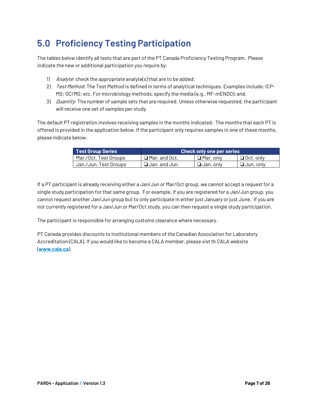# **5.0 Proficiency Testing Participation**

The tables below identify all tests that are part of the PT Canada Proficiency Testing Program. Please indicate the new or additional participation you require by:

- 1) Analyte: check the appropriate analyte(s) that are to be added;
- 2) Test Method: The Test Method is defined in terms of analytical techniques. Examples include: ICP-MS; GC/MS; etc. For microbiology methods, specify the media (e.g., MF-mENDO); and,
- 3) Quantity: The number of sample sets that are required. Unless otherwise requested, the participant will receive one set of samples per study.

The default PT registration involves receiving samples in the months indicated. The months that each PT is offered is provided in the application below. If the participant only requires samples in one of these months, please indicate below:

| <b>Test Group Series</b> | <b>Check only one per series</b> |                  |                  |  |  |
|--------------------------|----------------------------------|------------------|------------------|--|--|
| Mar./Oct. Test Groups    | $\Box$ Mar. and Oct.             | $\Box$ Mar. only | $\Box$ Oct. only |  |  |
| Jan./Jun. Test Groups    | $\Box$ Jan. and Jun.             | $\Box$ Jan. only | $\Box$ Jun. only |  |  |

If a PT participant is already receiving either a Jan/Jun or Mar/Oct group, we cannot accept a request for a single study participation for that same group. For example, if you are registered for a Jan/Jun group, you cannot request another Jan/Jun group but to only participate in either just January or just June. If you are not currently registered for a Jan/Jun or Mar/Oct study, you can then request a single study participation.

The participant is responsible for arranging customs clearance where necessary.

PT Canada provides discounts to Institutional members of the Canadian Association for Laboratory Accreditation (CALA). If you would like to become a CALA member, please vist th CALA website (**www.cala.ca**).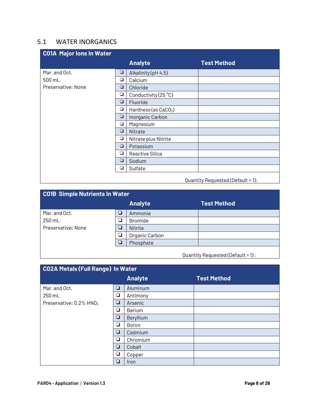#### 5.1 WATER INORGANICS

| <b>C01A Major lons In Water</b> |        |                                |                                   |
|---------------------------------|--------|--------------------------------|-----------------------------------|
|                                 |        | <b>Analyte</b>                 | <b>Test Method</b>                |
| Mar. and Oct.                   | $\Box$ | Alkalinity (pH 4.5)            |                                   |
| 500 mL                          | ❏      | Calcium                        |                                   |
| Preservative: None              | ❏      | Chloride                       |                                   |
|                                 | ❏      | Conductivity (25 $^{\circ}$ C) |                                   |
|                                 | ❏      | Fluoride                       |                                   |
|                                 | ❏      | Hardness (as $CaCO3$ )         |                                   |
|                                 | $\Box$ | Inorganic Carbon               |                                   |
|                                 | ❏      | Magnesium                      |                                   |
|                                 | ❏      | Nitrate                        |                                   |
|                                 | ❏      | Nitrate plus Nitrite           |                                   |
|                                 | ❏      | Potassium                      |                                   |
|                                 | ❏      | Reactive Silica                |                                   |
|                                 | ❏      | Sodium                         |                                   |
|                                 | ❏      | Sulfate                        |                                   |
|                                 |        |                                | Quantity Requested (Default = 1): |

| <b>CO1B Simple Nutrients In Water</b> |   |                |                    |  |  |  |
|---------------------------------------|---|----------------|--------------------|--|--|--|
|                                       |   | <b>Analyte</b> | <b>Test Method</b> |  |  |  |
| Mar. and Oct.                         |   | Ammonia        |                    |  |  |  |
| 250 mL                                |   | <b>Bromide</b> |                    |  |  |  |
| Preservative: None                    |   | Nitrite        |                    |  |  |  |
|                                       | ⊔ | Organic Carbon |                    |  |  |  |
|                                       |   | Phosphate      |                    |  |  |  |
|                                       |   |                |                    |  |  |  |

Quantity Requested (Default = 1) :

| <b>CO2A Metals (Full Range) In Water</b> |        |                |                    |  |  |
|------------------------------------------|--------|----------------|--------------------|--|--|
|                                          |        | <b>Analyte</b> | <b>Test Method</b> |  |  |
| Mar. and Oct.                            | ❏      | Aluminum       |                    |  |  |
| 250 mL                                   | ❏      | Antimony       |                    |  |  |
| Preservative: $0.2\%$ HNO <sub>3</sub>   | ❏      | Arsenic        |                    |  |  |
|                                          | ❏      | Barium         |                    |  |  |
|                                          | $\Box$ | Beryllium      |                    |  |  |
|                                          | ❏      | Boron          |                    |  |  |
|                                          | ❏      | Cadmium        |                    |  |  |
|                                          | ❏      | Chromium       |                    |  |  |
|                                          | ❏      | Cobalt         |                    |  |  |
|                                          | ❏      | Copper         |                    |  |  |
|                                          | ❏      | Iron           |                    |  |  |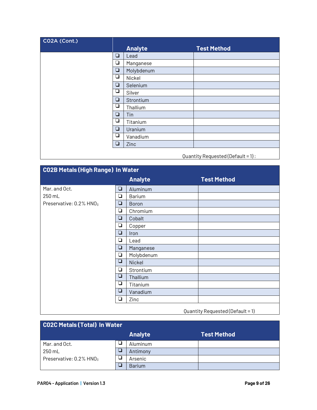| CO2A (Cont.) |        |                |                                   |
|--------------|--------|----------------|-----------------------------------|
|              |        | <b>Analyte</b> | <b>Test Method</b>                |
|              | $\Box$ | Lead           |                                   |
|              | ❏      | Manganese      |                                   |
|              | $\Box$ | Molybdenum     |                                   |
|              | ⊔      | Nickel         |                                   |
|              | $\Box$ | Selenium       |                                   |
|              | ⊔      | Silver         |                                   |
|              | $\Box$ | Strontium      |                                   |
|              | ❏      | Thallium       |                                   |
|              | $\Box$ | Tin            |                                   |
|              | $\Box$ | Titanium       |                                   |
|              | $\Box$ | Uranium        |                                   |
|              | ❏      | Vanadium       |                                   |
|              | $\Box$ | Zinc           |                                   |
|              |        |                | Quantity Requested (Default = 1): |

**C02B Metals (High Range) In Water Analyte Test Method** Mar. and Oct.  $\boxed{\Box}$  Aluminum  $250 \text{ mL}$   $\Box$  Barium Preservative:  $0.2\%$  HNO<sub>3</sub>  $\boxed{\Box}$  Boron □ Chromium **Q** Cobalt **Q** Copper  $\Box$  Iron  $\Box$  Lead **Q** | Manganese  $\Box$  | Molybdenum  $\Box$  Nickel □ Strontium  $\boxed{\Box}$  Thallium  $\begin{array}{|c|c|}\n\hline\n\hline\n\end{array}$  Titanium<br>  $\begin{array}{|c|c|}\n\hline\n\end{array}$  Vanadium ! Vanadium  $\Box$  Zinc

#### Quantity Requested (Default = 1)

| <b>CO2C Metals (Total) In Water</b> |  |                |               |  |  |  |
|-------------------------------------|--|----------------|---------------|--|--|--|
|                                     |  | <b>Analyte</b> | Test Method ' |  |  |  |
| Mar. and Oct.                       |  | Aluminum       |               |  |  |  |
| 250 mL                              |  | Antimony       |               |  |  |  |
| Preservative: 0.2% HNO <sub>3</sub> |  | Arsenic        |               |  |  |  |
|                                     |  | <b>Barium</b>  |               |  |  |  |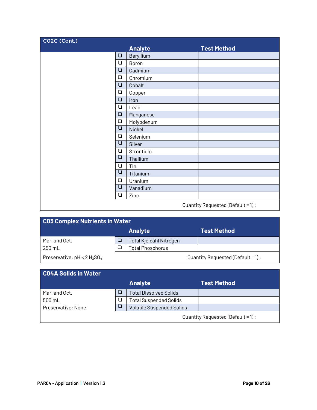| CO2C (Cont.) |        |                |                                   |
|--------------|--------|----------------|-----------------------------------|
|              |        | <b>Analyte</b> | <b>Test Method</b>                |
|              | ❏      | Beryllium      |                                   |
|              | $\Box$ | Boron          |                                   |
|              | $\Box$ | Cadmium        |                                   |
|              | ❏      | Chromium       |                                   |
|              | ❏      | Cobalt         |                                   |
|              | $\Box$ | Copper         |                                   |
|              | ❏      | Iron           |                                   |
|              | ❏      | Lead           |                                   |
|              | ❏      | Manganese      |                                   |
|              | $\Box$ | Molybdenum     |                                   |
|              | $\Box$ | Nickel         |                                   |
|              | ❏      | Selenium       |                                   |
|              | ❏      | Silver         |                                   |
|              | $\Box$ | Strontium      |                                   |
|              | ❏      | Thallium       |                                   |
|              | ❏      | Tin            |                                   |
|              | ❏      | Titanium       |                                   |
|              | ❏      | Uranium        |                                   |
|              | ❏      | Vanadium       |                                   |
|              | ❏      | Zinc           |                                   |
|              |        |                | Quantity Requested (Default = 1): |

| <b>CO3 Complex Nutrients in Water</b> |  |                                |                                      |  |  |
|---------------------------------------|--|--------------------------------|--------------------------------------|--|--|
|                                       |  | <b>Analyte</b>                 | <b>Test Method</b>                   |  |  |
| Mar. and Oct.                         |  | <b>Total Kjeldahl Nitrogen</b> |                                      |  |  |
| 250 mL                                |  | <b>Total Phosphorus</b>        |                                      |  |  |
| Preservative: $pH < 2 H_2SO_4$        |  |                                | Quantity Requested (Default = $1$ ): |  |  |

| C04A Solids in Water |  |                                  |                                      |  |  |  |
|----------------------|--|----------------------------------|--------------------------------------|--|--|--|
|                      |  | <b>Analyte</b>                   | <b>Test Method</b>                   |  |  |  |
| Mar. and Oct.        |  | <b>Total Dissolved Solids</b>    |                                      |  |  |  |
| 500 mL               |  | <b>Total Suspended Solids</b>    |                                      |  |  |  |
| Preservative: None   |  | <b>Volatile Suspended Solids</b> |                                      |  |  |  |
|                      |  |                                  | Quantity Requested (Default = $1$ ): |  |  |  |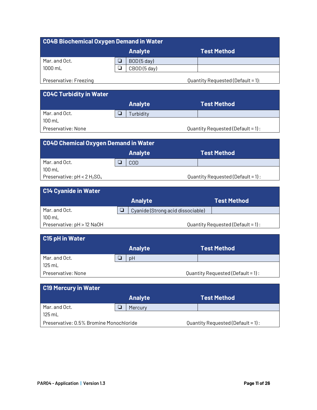| C04B Biochemical Oxygen Demand in Water |  |                |  |                                   |  |  |
|-----------------------------------------|--|----------------|--|-----------------------------------|--|--|
|                                         |  | <b>Analyte</b> |  | <b>Test Method</b>                |  |  |
| Mar. and Oct.                           |  | BOD(5 day)     |  |                                   |  |  |
| 1000 mL                                 |  | CBOD(5 day)    |  |                                   |  |  |
| Preservative: Freezing                  |  |                |  | Quantity Requested (Default = 1): |  |  |

**C04C Turbidity in Water Analyte Test Method** Mar. and Oct.  $\boxed{\Box}$  Turbidity 100 mL Preservative: None **Preservative:** None  $\alpha$  **Preservative:** None

| <b>CO4D Chemical Oxygen Demand in Water</b> |  |                |  |                                      |  |
|---------------------------------------------|--|----------------|--|--------------------------------------|--|
|                                             |  | <b>Analyte</b> |  | <b>Test Method</b>                   |  |
| Mar. and Oct.                               |  | <b>COD</b>     |  |                                      |  |
| $100 \text{ mL}$                            |  |                |  |                                      |  |
| Preservative: $pH < 2 H_2SO_4$              |  |                |  | Quantity Requested (Default = $1$ ): |  |

| <b>C14 Cyanide in Water</b> |                                   |                                   |
|-----------------------------|-----------------------------------|-----------------------------------|
|                             | <b>Analyte</b>                    | Test Method                       |
| Mar. and Oct.               | Cyanide (Strong acid dissociable) |                                   |
| $100 \text{ mL}$            |                                   |                                   |
| Preservative: pH > 12 NaOH  |                                   | Quantity Requested (Default = 1): |

| C15 pH in Water    |                |                                      |
|--------------------|----------------|--------------------------------------|
|                    | <b>Analyte</b> | <b>Test Method</b>                   |
| Mar. and Oct.      | pH             |                                      |
| $125 \text{ mL}$   |                |                                      |
| Preservative: None |                | Quantity Requested (Default = $1$ ): |

| <b>C19 Mercury in Water</b>             |                |                                      |
|-----------------------------------------|----------------|--------------------------------------|
|                                         | <b>Analyte</b> | <b>Test Method</b>                   |
| Mar. and Oct.                           | Mercury        |                                      |
| $125 \text{ mL}$                        |                |                                      |
| Preservative: 0.5% Bromine Monochloride |                | Quantity Requested (Default = $1$ ): |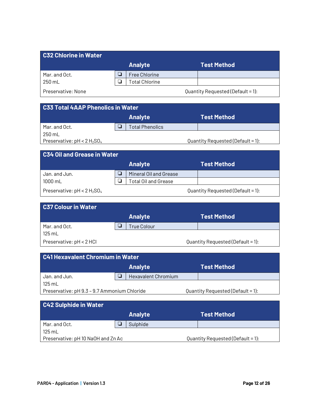| <b>C32 Chlorine in Water</b> |                      |                                   |
|------------------------------|----------------------|-----------------------------------|
|                              | <b>Analyte</b>       | <b>Test Method</b>                |
| Mar. and Oct.                | <b>Free Chlorine</b> |                                   |
| 250 mL                       | Total Chlorine       |                                   |
| Preservative: None           |                      | Quantity Requested (Default = 1): |

| <b>C33 Total 4AAP Phenolics in Water</b> |                                      |                        |  |                                   |  |  |
|------------------------------------------|--------------------------------------|------------------------|--|-----------------------------------|--|--|
|                                          | <b>Analyte</b><br><b>Test Method</b> |                        |  |                                   |  |  |
| Mar. and Oct.                            |                                      | <b>Total Phenolics</b> |  |                                   |  |  |
| 250 mL                                   |                                      |                        |  |                                   |  |  |
| Preservative: $pH < 2 H_2SO_4$           |                                      |                        |  | Quantity Requested (Default = 1): |  |  |
|                                          |                                      |                        |  |                                   |  |  |

| <b>C34 Oil and Grease in Water</b> |   |                        |  |                                   |  |  |  |
|------------------------------------|---|------------------------|--|-----------------------------------|--|--|--|
|                                    |   | <b>Analyte</b>         |  | Test Method                       |  |  |  |
| Jan. and Jun.                      | ப | Mineral Oil and Grease |  |                                   |  |  |  |
| $1000 \text{ mL}$                  |   | Total Oil and Grease   |  |                                   |  |  |  |
| Preservative: $pH < 2 H_2SO_4$     |   |                        |  | Quantity Requested (Default = 1): |  |  |  |

| <b>C37 Colour in Water</b> |                    |                                   |
|----------------------------|--------------------|-----------------------------------|
|                            | <b>Analyte</b>     | <b>Test Method</b>                |
| Mar. and Oct.              | <b>True Colour</b> |                                   |
| $125 \text{ mL}$           |                    |                                   |
| Preservative: pH < 2 HCl   |                    | Quantity Requested (Default = 1): |

| <b>C41 Hexavalent Chromium in Water</b>                                           |  |                     |  |  |  |  |
|-----------------------------------------------------------------------------------|--|---------------------|--|--|--|--|
| <b>Analyte</b><br><b>Test Method</b>                                              |  |                     |  |  |  |  |
| Jan. and Jun.                                                                     |  | Hexavalent Chromium |  |  |  |  |
| $125 \text{ mL}$                                                                  |  |                     |  |  |  |  |
| Preservative: pH 9.3 - 9.7 Ammonium Chloride<br>Quantity Requested (Default = 1): |  |                     |  |  |  |  |

| C42 Sulphide in Water              |                |                                   |
|------------------------------------|----------------|-----------------------------------|
|                                    | <b>Analyte</b> | <b>Test Method</b>                |
| Mar. and Oct.                      | Sulphide       |                                   |
| $125 \text{ mL}$                   |                |                                   |
| Preservative: pH 10 NaOH and Zn Ac |                | Quantity Requested (Default = 1): |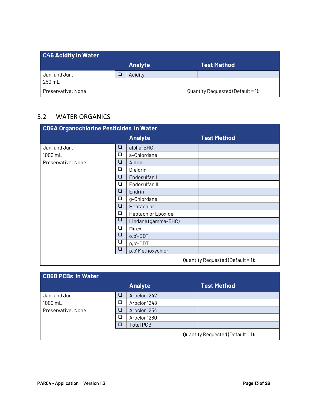| <b>C46 Acidity in Water</b> |     |                |                                   |
|-----------------------------|-----|----------------|-----------------------------------|
|                             |     | <b>Analyte</b> | <b>Test Method</b>                |
| Jan. and Jun.<br>250 mL     | 7 I | Acidity        |                                   |
| Preservative: None          |     |                | Quantity Requested (Default = 1): |

#### 5.2 WATER ORGANICS

| <b>CO6A Organochlorine Pesticides In Water</b> |   |                     |                    |  |  |
|------------------------------------------------|---|---------------------|--------------------|--|--|
|                                                |   | <b>Analyte</b>      | <b>Test Method</b> |  |  |
| Jan. and Jun.                                  | ❏ | alpha-BHC           |                    |  |  |
| 1000 mL                                        | ❏ | a-Chlordane         |                    |  |  |
| Preservative: None                             | ❏ | Aldrin              |                    |  |  |
|                                                | ❏ | Dieldrin            |                    |  |  |
|                                                | ❏ | Endosulfan I        |                    |  |  |
|                                                | ❏ | Endosulfan II       |                    |  |  |
|                                                | ❏ | Endrin              |                    |  |  |
|                                                | ❏ | g-Chlordane         |                    |  |  |
|                                                | ❏ | Heptachlor          |                    |  |  |
|                                                | ❏ | Heptachlor Epoxide  |                    |  |  |
|                                                | ❏ | Lindane (gamma-BHC) |                    |  |  |
|                                                | ❏ | Mirex               |                    |  |  |
|                                                | ❏ | o,p'-DDT            |                    |  |  |
|                                                | ❏ | p,p'-DDT            |                    |  |  |
|                                                | ❏ | p,p'Methoxychlor    |                    |  |  |
| Quantity Requested (Default = 1):              |   |                     |                    |  |  |

| <b>CO6B PCBs In Water</b> |   |                  |                                   |
|---------------------------|---|------------------|-----------------------------------|
|                           |   | <b>Analyte</b>   | <b>Test Method</b>                |
| Jan. and Jun.             | □ | Aroclor 1242     |                                   |
| $1000$ mL                 | ⊔ | Aroclor 1248     |                                   |
| Preservative: None        | □ | Aroclor 1254     |                                   |
|                           | ❏ | Aroclor 1260     |                                   |
|                           | П | <b>Total PCB</b> |                                   |
|                           |   |                  | Quantity Requested (Default = 1): |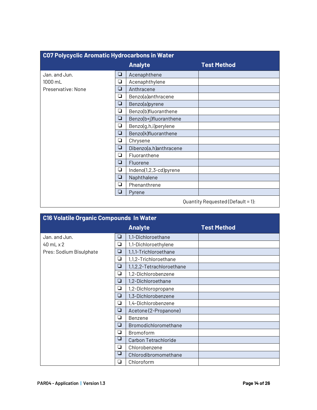| C07 Polycyclic Aromatic Hydrocarbons in Water |   |                        |                                   |  |  |
|-----------------------------------------------|---|------------------------|-----------------------------------|--|--|
|                                               |   | <b>Analyte</b>         | <b>Test Method</b>                |  |  |
| Jan. and Jun.                                 | ❏ | Acenaphthene           |                                   |  |  |
| 1000 mL                                       | ❏ | Acenaphthylene         |                                   |  |  |
| Preservative: None                            | ❏ | Anthracene             |                                   |  |  |
|                                               | ❏ | Benzo(a)anthracene     |                                   |  |  |
|                                               | ❏ | Benzo(a)pyrene         |                                   |  |  |
|                                               | ❏ | Benzo(b)fluoranthene   |                                   |  |  |
|                                               | ❏ | Benzo(b+j)fluoranthene |                                   |  |  |
|                                               | ◘ | Benzo(g,h,i)perylene   |                                   |  |  |
|                                               | ❏ | Benzo(k)fluoranthene   |                                   |  |  |
|                                               | ❏ | Chrysene               |                                   |  |  |
|                                               | ❏ | Dibenzo(a,h)anthracene |                                   |  |  |
|                                               | ◘ | Fluoranthene           |                                   |  |  |
|                                               | ❏ | Fluorene               |                                   |  |  |
|                                               | ❏ | Indeno(1,2,3-cd)pyrene |                                   |  |  |
|                                               | ❏ | Naphthalene            |                                   |  |  |
|                                               | ◘ | Phenanthrene           |                                   |  |  |
|                                               | ❏ | Pyrene                 |                                   |  |  |
|                                               |   |                        | Quantity Requested (Default = 1): |  |  |

| <b>C16 Volatile Organic Compounds In Water</b> |        |                           |                    |  |  |
|------------------------------------------------|--------|---------------------------|--------------------|--|--|
|                                                |        | <b>Analyte</b>            | <b>Test Method</b> |  |  |
| Jan. and Jun.                                  | ❏      | 1,1-Dichloroethane        |                    |  |  |
| $40$ mL $\times$ 2                             | ❏      | 1,1-Dichloroethylene      |                    |  |  |
| Pres: Sodium Bisulphate                        | ❏      | 1,1,1-Trichloroethane     |                    |  |  |
|                                                | $\Box$ | 1,1,2-Trichloroethane     |                    |  |  |
|                                                | ❏      | 1,1,2,2-Tetrachloroethane |                    |  |  |
|                                                | ❏      | 1,2-Dichlorobenzene       |                    |  |  |
|                                                | ❏      | 1,2-Dichloroethane        |                    |  |  |
|                                                | ❏      | 1,2-Dichloropropane       |                    |  |  |
|                                                | ❏      | 1,3-Dichlorobenzene       |                    |  |  |
|                                                | ❏      | 1,4-Dichlorobenzene       |                    |  |  |
|                                                | $\Box$ | Acetone (2-Propanone)     |                    |  |  |
|                                                | ❏      | Benzene                   |                    |  |  |
|                                                | ❏      | Bromodichloromethane      |                    |  |  |
|                                                | ❏      | <b>Bromoform</b>          |                    |  |  |
|                                                | ❏      | Carbon Tetrachloride      |                    |  |  |
|                                                | ❏      | Chlorobenzene             |                    |  |  |
|                                                | ⊔      | Chlorodibromomethane      |                    |  |  |
|                                                | ❏      | Chloroform                |                    |  |  |

 $\mathbf{I}$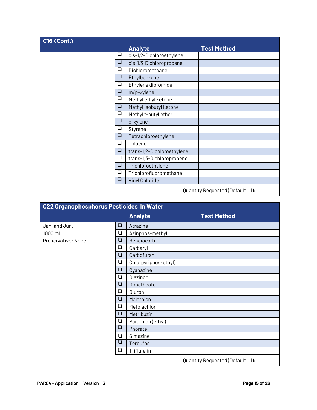| <b>C16 (Cont.)</b>                |   |                            |                    |  |
|-----------------------------------|---|----------------------------|--------------------|--|
|                                   |   | <b>Analyte</b>             | <b>Test Method</b> |  |
|                                   | ⊔ | cis-1,2-Dichloroethylene   |                    |  |
|                                   | ❏ | cis-1,3-Dichloropropene    |                    |  |
|                                   | ❏ | Dichloromethane            |                    |  |
|                                   | ❏ | Ethylbenzene               |                    |  |
|                                   | ⊔ | Ethylene dibromide         |                    |  |
|                                   | ◘ | m/p-xylene                 |                    |  |
|                                   | ❏ | Methyl ethyl ketone        |                    |  |
|                                   | ❏ | Methyl isobutyl ketone     |                    |  |
|                                   | ⊔ | Methyl t-butyl ether       |                    |  |
|                                   | ❏ | o-xylene                   |                    |  |
|                                   | ⊔ | Styrene                    |                    |  |
|                                   | ❏ | Tetrachloroethylene        |                    |  |
|                                   | ❏ | Toluene                    |                    |  |
|                                   | ❏ | trans-1,2-Dichloroethylene |                    |  |
|                                   | ❏ | trans-1,3-Dichloropropene  |                    |  |
|                                   | ❏ | Trichloroethylene          |                    |  |
|                                   | ❏ | Trichlorofluoromethane     |                    |  |
|                                   | ⊔ | Vinyl Chloride             |                    |  |
| Quantity Requested (Default = 1): |   |                            |                    |  |

| <b>C22 Organophosphorus Pesticides In Water</b> |   |                       |                                   |  |  |  |
|-------------------------------------------------|---|-----------------------|-----------------------------------|--|--|--|
|                                                 |   | <b>Analyte</b>        | <b>Test Method</b>                |  |  |  |
| Jan. and Jun.                                   | ❏ | Atrazine              |                                   |  |  |  |
| 1000 mL                                         | ❏ | Azinphos-methyl       |                                   |  |  |  |
| Preservative: None                              | ❏ | Bendiocarb            |                                   |  |  |  |
|                                                 | ❏ | Carbaryl              |                                   |  |  |  |
|                                                 | ❏ | Carbofuran            |                                   |  |  |  |
|                                                 | ❏ | Chlorpyriphos (ethyl) |                                   |  |  |  |
|                                                 | ❏ | Cyanazine             |                                   |  |  |  |
|                                                 | ❏ | Diazinon              |                                   |  |  |  |
|                                                 | ❏ | Dimethoate            |                                   |  |  |  |
|                                                 | ❏ | Diuron                |                                   |  |  |  |
|                                                 | ❏ | Malathion             |                                   |  |  |  |
|                                                 | ❏ | Metolachlor           |                                   |  |  |  |
|                                                 | ❏ | Metribuzin            |                                   |  |  |  |
|                                                 | ❏ | Parathion (ethyl)     |                                   |  |  |  |
|                                                 | ❏ | Phorate               |                                   |  |  |  |
|                                                 | ❏ | Simazine              |                                   |  |  |  |
|                                                 | ❏ | Terbufos              |                                   |  |  |  |
|                                                 | ❏ | Trifluralin           |                                   |  |  |  |
|                                                 |   |                       | Quantity Requested (Default = 1): |  |  |  |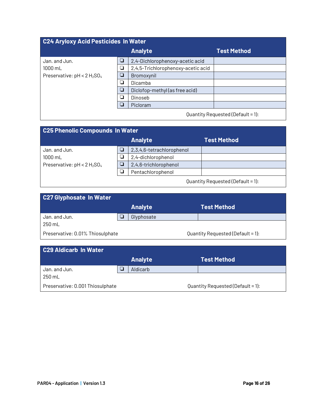| C24 Aryloxy Acid Pesticides In Water |   |                                    |                    |  |  |  |
|--------------------------------------|---|------------------------------------|--------------------|--|--|--|
|                                      |   | <b>Analyte</b>                     | <b>Test Method</b> |  |  |  |
| Jan. and Jun.                        | ❏ | 2,4-Dichlorophenoxy-acetic acid    |                    |  |  |  |
| 1000 mL                              | ❏ | 2,4,5-Trichlorophenoxy-acetic acid |                    |  |  |  |
| Preservative: $pH < 2 H_2SO_4$       |   | Bromoxynil                         |                    |  |  |  |
|                                      | ⊔ | Dicamba                            |                    |  |  |  |
|                                      | ⊔ | Diclofop-methyl (as free acid)     |                    |  |  |  |
|                                      |   | Dinoseb                            |                    |  |  |  |
|                                      | ⊔ | Picloram                           |                    |  |  |  |
| Quantity Requested (Default = 1):    |   |                                    |                    |  |  |  |

| <b>C25 Phenolic Compounds In Water</b> |                   |                           |                    |  |  |  |
|----------------------------------------|-------------------|---------------------------|--------------------|--|--|--|
|                                        |                   | <b>Analyte</b>            | <b>Test Method</b> |  |  |  |
| Jan. and Jun.                          |                   | 2,3,4,6-tetrachlorophenol |                    |  |  |  |
| $1000$ mL                              |                   | 2,4-dichlorophenol        |                    |  |  |  |
| Preservative: $pH < 2 H_2SO_4$         |                   | 2,4,6-trichlorophenol     |                    |  |  |  |
|                                        | Pentachlorophenol |                           |                    |  |  |  |
| Quantity Requested (Default = 1):      |                   |                           |                    |  |  |  |

| <b>C27 Glyphosate In Water</b>   |                |                                   |
|----------------------------------|----------------|-----------------------------------|
|                                  | <b>Analyte</b> | <b>Test Method</b>                |
| Jan. and Jun.                    | Glyphosate     |                                   |
| 250 mL                           |                |                                   |
| Preservative: 0.01% Thiosulphate |                | Quantity Requested (Default = 1): |

| C29 Aldicarb In Water            |                |                                   |
|----------------------------------|----------------|-----------------------------------|
|                                  | <b>Analyte</b> | <b>Test Method</b>                |
| Jan. and Jun.                    | Aldicarb       |                                   |
| 250 mL                           |                |                                   |
| Preservative: 0.001 Thiosulphate |                | Quantity Requested (Default = 1): |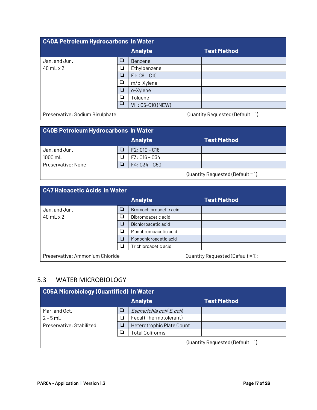| C40A Petroleum Hydrocarbons In Water |        |                  |                    |  |  |
|--------------------------------------|--------|------------------|--------------------|--|--|
|                                      |        | <b>Analyte</b>   | <b>Test Method</b> |  |  |
| Jan. and Jun.                        | $\Box$ | Benzene          |                    |  |  |
| $40$ mL $\times$ 2                   | ❏      | Ethylbenzene     |                    |  |  |
|                                      | $\Box$ | $F1: C6 - C10$   |                    |  |  |
|                                      | $\Box$ | m/p-Xylene       |                    |  |  |
|                                      | $\Box$ | o-Xylene         |                    |  |  |
|                                      | $\Box$ | Toluene          |                    |  |  |
|                                      | ⊔      | VH: C6-C10 (NEW) |                    |  |  |
| $\overline{\phantom{0}}$             |        |                  |                    |  |  |

Preservative: Sodium Bisulphate and and the Cuantity Requested (Default = 1):

| <b>C40B Petroleum Hydrocarbons In Water</b> |  |                 |                    |  |  |
|---------------------------------------------|--|-----------------|--------------------|--|--|
|                                             |  | <b>Analyte</b>  | <b>Test Method</b> |  |  |
| Jan. and Jun.                               |  | $F2: C10 - C16$ |                    |  |  |
| $1000 \text{ mL}$                           |  | $F3: C16 - C34$ |                    |  |  |
| Preservative: None                          |  | $F4: C34 - C50$ |                    |  |  |
| Quantity Requested (Default = 1):           |  |                 |                    |  |  |

| C47 Haloacetic Acids In Water                                        |        |                        |                    |  |
|----------------------------------------------------------------------|--------|------------------------|--------------------|--|
|                                                                      |        | <b>Analyte</b>         | <b>Test Method</b> |  |
| Jan. and Jun.                                                        | $\Box$ | Bromochloroacetic acid |                    |  |
| $40$ mL $\times$ 2                                                   | ⊔      | Dibromoacetic acid     |                    |  |
|                                                                      |        | Dichloroacetic acid    |                    |  |
|                                                                      | □      | Monobromoacetic acid   |                    |  |
|                                                                      | □      | Monochloroacetic acid  |                    |  |
|                                                                      |        | Trichloroacetic acid   |                    |  |
| Quantity Requested (Default = 1):<br>Preservative: Ammonium Chloride |        |                        |                    |  |

### 5.3 WATER MICROBIOLOGY

| <b>CO5A Microbiology (Quantified) In Water</b> |  |                           |             |  |
|------------------------------------------------|--|---------------------------|-------------|--|
|                                                |  | <b>Analyte</b>            | Test Method |  |
| Mar. and Oct.                                  |  | Escherichia coli(E.coli)  |             |  |
| $2 - 5$ m                                      |  | Fecal (Thermotolerant)    |             |  |
| Preservative: Stabilized                       |  | Heterotrophic Plate Count |             |  |
|                                                |  | <b>Total Coliforms</b>    |             |  |
| Quantity Requested (Default = 1):              |  |                           |             |  |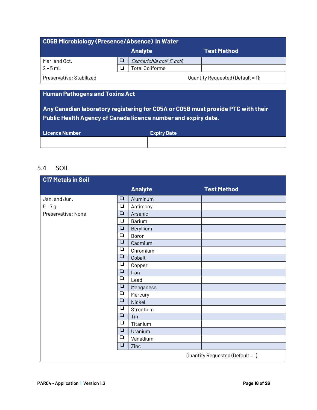| C05B Microbiology (Presence/Absence) In Water |                               |                          |                                   |
|-----------------------------------------------|-------------------------------|--------------------------|-----------------------------------|
|                                               | <b>Analyte</b><br>Test Method |                          |                                   |
| Mar. and Oct.                                 |                               | Escherichia coli(E.coli) |                                   |
| $2 - 5$ mL                                    |                               | 「otal Coliforms」         |                                   |
| Preservative: Stabilized                      |                               |                          | Quantity Requested (Default = 1): |

#### **Human Pathogens and Toxins Act**

**Any Canadian laboratory registering for C05A or C05B must provide PTC with their Public Health Agency of Canada licence number and expiry date.**

| <b>Licence Number</b> | <b>Expiry Date</b> |
|-----------------------|--------------------|
|                       |                    |

#### 5.4 SOIL

| <b>C17 Metals in Soil</b> |        |                |                                   |
|---------------------------|--------|----------------|-----------------------------------|
|                           |        | <b>Analyte</b> | <b>Test Method</b>                |
| Jan. and Jun.             | $\Box$ | Aluminum       |                                   |
| $5 - 7g$                  | $\Box$ | Antimony       |                                   |
| Preservative: None        | ❏      | Arsenic        |                                   |
|                           | $\Box$ | Barium         |                                   |
|                           | ❏      | Beryllium      |                                   |
|                           | $\Box$ | Boron          |                                   |
|                           | ❏      | Cadmium        |                                   |
|                           | $\Box$ | Chromium       |                                   |
|                           | ❏      | Cobalt         |                                   |
|                           | ❏      | Copper         |                                   |
|                           | ❏      | Iron           |                                   |
|                           | ❏      | Lead           |                                   |
|                           | $\Box$ | Manganese      |                                   |
|                           | ❏      | Mercury        |                                   |
|                           | ❏      | Nickel         |                                   |
|                           | ❏      | Strontium      |                                   |
|                           | ❏      | Tin            |                                   |
|                           | ❏      | Titanium       |                                   |
|                           | $\Box$ | Uranium        |                                   |
|                           | ❏      | Vanadium       |                                   |
|                           | $\Box$ | Zinc           |                                   |
|                           |        |                | Quantity Requested (Default = 1): |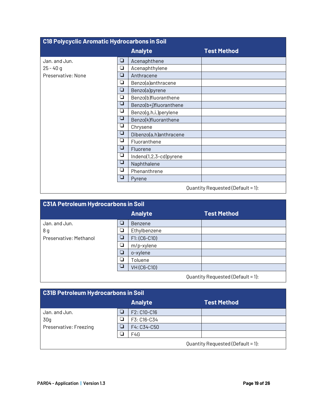| <b>C18 Polycyclic Aromatic Hydrocarbons in Soil</b> |        |                        |                                   |
|-----------------------------------------------------|--------|------------------------|-----------------------------------|
|                                                     |        | <b>Analyte</b>         | <b>Test Method</b>                |
| Jan. and Jun.                                       | ❏      | Acenaphthene           |                                   |
| $25 - 40q$                                          | $\Box$ | Acenaphthylene         |                                   |
| Preservative: None                                  | $\Box$ | Anthracene             |                                   |
|                                                     | $\Box$ | Benzo(a)anthracene     |                                   |
|                                                     | $\Box$ | Benzo(a)pyrene         |                                   |
|                                                     | ◘      | Benzo(b)fluoranthene   |                                   |
|                                                     | ❏      | Benzo(b+j)fluoranthene |                                   |
|                                                     | ❏      | Benzo(g,h,i,)perylene  |                                   |
|                                                     | ⊔      | Benzo(k)fluoranthene   |                                   |
|                                                     | $\Box$ | Chrysene               |                                   |
|                                                     | $\Box$ | Dibenzo(a,h)anthracene |                                   |
|                                                     | ◘      | Fluoranthene           |                                   |
|                                                     | $\Box$ | Fluorene               |                                   |
|                                                     | ❏      | Indeno(1,2,3-cd)pyrene |                                   |
|                                                     | ❏      | Naphthalene            |                                   |
|                                                     | ⊔      | Phenanthrene           |                                   |
|                                                     | ❏      | Pyrene                 |                                   |
|                                                     |        |                        | Quantity Requested (Default = 1): |

| <b>C31A Petroleum Hydrocarbons in Soil</b>                                                 |        |                |                    |  |
|--------------------------------------------------------------------------------------------|--------|----------------|--------------------|--|
|                                                                                            |        | <b>Analyte</b> | <b>Test Method</b> |  |
| Jan. and Jun.                                                                              | □      | Benzene        |                    |  |
| 8 g                                                                                        | $\Box$ | Ethylbenzene   |                    |  |
| Preservative: Methanol                                                                     | $\Box$ | $F1: (C6-C10)$ |                    |  |
|                                                                                            | $\Box$ | m/p-xylene     |                    |  |
|                                                                                            | ◘      | o-xylene       |                    |  |
|                                                                                            | $\Box$ | Toluene        |                    |  |
|                                                                                            |        | VH(C6-C10)     |                    |  |
| $Q_{11} = 111.$ $Q_{21} = 11.$ $Q_{31} = 11.$ $Q_{41} = 11.$ $Q_{51} = 11.$ $Q_{61} = 11.$ |        |                |                    |  |

Quantity Requested (Default = 1):

| <b>C31B Petroleum Hydrocarbons in Soil</b> |  |                |                    |  |
|--------------------------------------------|--|----------------|--------------------|--|
|                                            |  | <b>Analyte</b> | <b>Test Method</b> |  |
| Jan. and Jun.                              |  | F2: C10-C16    |                    |  |
| 30q                                        |  | F3: C16-C34    |                    |  |
| Preservative: Freezing                     |  | F4: C34-C50    |                    |  |
|                                            |  | F4G            |                    |  |
| Quantity Requested (Default = 1):          |  |                |                    |  |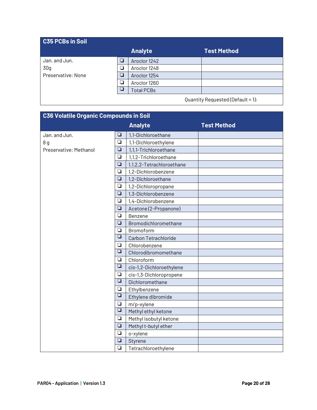| <b>C35 PCBs in Soil</b> |     |                   |                                                                                                                 |  |
|-------------------------|-----|-------------------|-----------------------------------------------------------------------------------------------------------------|--|
|                         |     | <b>Analyte</b>    | <b>Test Method</b>                                                                                              |  |
| Jan. and Jun.           | ┑   | Aroclor 1242      |                                                                                                                 |  |
| 30 <sub>g</sub>         | □   | Aroclor 1248      |                                                                                                                 |  |
| Preservative: None      | - 1 | Aroclor 1254      |                                                                                                                 |  |
|                         | О   | Aroclor 1260      |                                                                                                                 |  |
|                         |     | <b>Total PCBs</b> |                                                                                                                 |  |
|                         |     |                   | the contract of the contract of the contract of the contract of the contract of the contract of the contract of |  |

Quantity Requested (Default = 1):

| <b>C36 Volatile Organic Compounds in Soil</b> |                         |                           |                    |
|-----------------------------------------------|-------------------------|---------------------------|--------------------|
|                                               |                         | <b>Analyte</b>            | <b>Test Method</b> |
| Jan. and Jun.                                 | $\Box$                  | 1,1-Dichloroethane        |                    |
| 8 <sub>q</sub>                                | $\Box$                  | 1,1-Dichloroethylene      |                    |
| Preservative: Methanol                        | $\Box$                  | 1,1,1-Trichloroethane     |                    |
|                                               | $\Box$                  | 1,1,2-Trichloroethane     |                    |
|                                               | $\Box$                  | 1,1,2,2-Tetrachloroethane |                    |
|                                               | $\Box$                  | 1,2-Dichlorobenzene       |                    |
|                                               | $\Box$                  | 1,2-Dichloroethane        |                    |
|                                               | ❏                       | 1,2-Dichloropropane       |                    |
|                                               | $\Box$                  | 1,3-Dichlorobenzene       |                    |
|                                               | $\Box$                  | 1,4-Dichlorobenzene       |                    |
|                                               | $\Box$                  | Acetone (2-Propanone)     |                    |
|                                               | $\Box$                  | Benzene                   |                    |
|                                               | $\Box$                  | Bromodichloromethane      |                    |
|                                               | $\Box$                  | Bromoform                 |                    |
|                                               | $\Box$                  | Carbon Tetrachloride      |                    |
|                                               | ❏                       | Chlorobenzene             |                    |
|                                               | $\overline{\mathsf{u}}$ | Chlorodibromomethane      |                    |
|                                               | ❏                       | Chloroform                |                    |
|                                               | $\Box$                  | cis-1,2-Dichloroethylene  |                    |
|                                               | $\Box$                  | cis-1,3-Dichloropropene   |                    |
|                                               | $\Box$                  | Dichloromethane           |                    |
|                                               | $\Box$                  | Ethylbenzene              |                    |
|                                               | $\Box$                  | Ethylene dibromide        |                    |
|                                               | $\Box$                  | m/p-xylene                |                    |
|                                               | $\Box$                  | Methyl ethyl ketone       |                    |
|                                               | $\Box$                  | Methyl isobutyl ketone    |                    |
|                                               | $\Box$                  | Methyl t-butyl ether      |                    |
|                                               | $\Box$                  | o-xylene                  |                    |
|                                               | $\Box$                  | Styrene                   |                    |
|                                               | $\Box$                  | Tetrachloroethylene       |                    |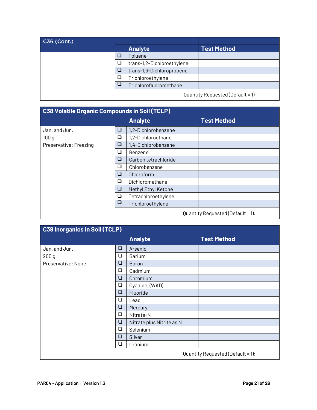| C36 (Cont.) |                            |                                  |
|-------------|----------------------------|----------------------------------|
|             | <b>Analyte</b>             | <b>Test Method</b>               |
|             | Toluene                    |                                  |
|             | trans-1,2-Dichloroethylene |                                  |
|             | trans-1,3-Dichloropropene  |                                  |
|             | Trichloroethylene          |                                  |
|             | Trichlorofluoromethane     |                                  |
|             |                            | Quantity Requested (Default = 1) |

**C38 Volatile Organic Compounds in Soil (TCLP) Analyte Test Method** Jan. and Jun.  $\boxed{\Box}$  1,2-Dichlorobenzene  $100 g$   $\qquad \qquad$   $\qquad \qquad$   $\qquad \qquad$  1,2-Dichloroethane Preservative: Freezing  $\boxed{a}$  | 1,4-Dichlorobenzene  $\Box$  Benzene  $\Box$  | Carbon tetrachloride  $\Box$  Chlorobenzene □ | Chloroform  $\Box$  Dichloromethane **Q** | Methyl Ethyl Ketone  $\Box$  | Tetrachloroethylene  $\boxed{\Box}$  Trichloroethylene Quantity Requested (Default = 1):

| <b>C39 Inorganics in Soil (TCLP)</b> |     |                           |                                   |
|--------------------------------------|-----|---------------------------|-----------------------------------|
|                                      |     | <b>Analyte</b>            | <b>Test Method</b>                |
| Jan. and Jun.                        | ❏   | Arsenic                   |                                   |
| 200 <sub>g</sub>                     | ❏   | <b>Barium</b>             |                                   |
| Preservative: None                   | ❏   | <b>Boron</b>              |                                   |
|                                      | ❏   | Cadmium                   |                                   |
|                                      | ❏   | Chromium                  |                                   |
|                                      | ❏   | Cyanide, (WAD)            |                                   |
|                                      | ❏   | Fluoride                  |                                   |
|                                      | ⊔   | Lead                      |                                   |
|                                      | ❏   | Mercury                   |                                   |
|                                      | ❏   | Nitrate-N                 |                                   |
|                                      | ❏   | Nitrate plus Nitrite as N |                                   |
|                                      | ❏   | Selenium                  |                                   |
|                                      | ❏   | Silver                    |                                   |
|                                      | - 1 | Uranium                   |                                   |
|                                      |     |                           | Quantity Requested (Default = 1): |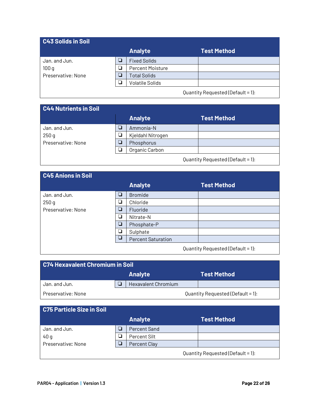### **C43 Solids in Soil Analyte Test Method** Jan. and Jun.  $\boxed{\Box}$  Fixed Solids 100 g ! Percent Moisture Preservative: None  $\boxed{\Box}$  Total Solids **Q** | Volatile Solids

Quantity Requested (Default = 1):

# **C44 Nutrients in Soil**

|                    | <b>Analyte</b>    | <b>Test Method</b>                |
|--------------------|-------------------|-----------------------------------|
| Jan. and Jun.      | Ammonia-N         |                                   |
| 250 <sub>g</sub>   | Kjeldahl Nitrogen |                                   |
| Preservative: None | Phosphorus        |                                   |
|                    | Organic Carbon    |                                   |
|                    |                   | Quantity Requested (Default = 1): |

#### **C45 Anions in Soil**

| <u>o io Annono mi ooni</u> |        |                           |                                   |
|----------------------------|--------|---------------------------|-----------------------------------|
|                            |        | <b>Analyte</b>            | <b>Test Method</b>                |
| Jan. and Jun.              | ❏      | <b>Bromide</b>            |                                   |
| 250q                       | ❏      | Chloride                  |                                   |
| Preservative: None         | ⊔      | Fluoride                  |                                   |
|                            | ❏      | Nitrate-N                 |                                   |
|                            | ❏      | Phosphate-P               |                                   |
|                            | ◘      | Sulphate                  |                                   |
|                            | $\Box$ | <b>Percent Saturation</b> |                                   |
|                            |        |                           | Quantity Requested (Default = 1): |

| C74 Hexavalent Chromium in Soil |  |                            |  |                                   |
|---------------------------------|--|----------------------------|--|-----------------------------------|
|                                 |  | <b>Analyte</b>             |  | Test Method \                     |
| Jan. and Jun.                   |  | <b>Hexavalent Chromium</b> |  |                                   |
| Preservative: None              |  |                            |  | Quantity Requested (Default = 1): |

### **C75 Particle Size in Soil**

|                    |   | <b>Analyte</b>      | <b>Test Method</b>                |
|--------------------|---|---------------------|-----------------------------------|
| Jan. and Jun.      | σ | <b>Percent Sand</b> |                                   |
| 40g                | ل | Percent Silt        |                                   |
| Preservative: None | ┚ | <b>Percent Clay</b> |                                   |
|                    |   |                     | Quantity Requested (Default = 1): |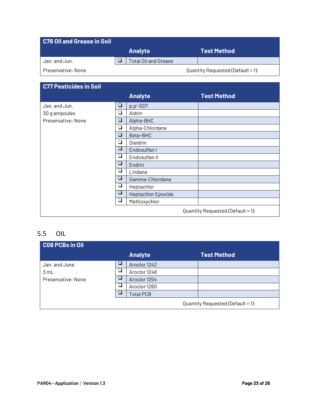| <b>C76 Oil and Grease in Soil</b> |                      |                                   |
|-----------------------------------|----------------------|-----------------------------------|
|                                   | <b>Analyte</b>       | <b>Test Method</b>                |
| Jan. and Jun.                     | Total Oil and Grease |                                   |
| Preservative: None                |                      | Quantity Requested (Default = 1): |

| <b>C77 Pesticides in Soil</b> |        |                    |                                   |
|-------------------------------|--------|--------------------|-----------------------------------|
|                               |        | <b>Analyte</b>     | <b>Test Method</b>                |
| Jan. and Jun.                 | $\Box$ | p,p'-DDT           |                                   |
| 30 g ampoules                 | ❏      | Aldrin             |                                   |
| Preservative: None            | ❏      | Alpha-BHC          |                                   |
|                               | ❏      | Alpha-Chlordane    |                                   |
|                               | ❏      | Beta-BHC           |                                   |
|                               | ❏      | Dieldrin           |                                   |
|                               | ❏      | Endosulfan I       |                                   |
|                               | ⊔      | Endosulfan II      |                                   |
|                               | ⊔      | Endrin             |                                   |
|                               | ⊔      | Lindane            |                                   |
|                               | ❏      | Gamma-Chlordane    |                                   |
|                               | ⊔      | Heptachlor         |                                   |
|                               | ⊔      | Heptachlor Epoxide |                                   |
|                               | ❏      | Methoxychlor       |                                   |
|                               |        |                    | Quantity Requested (Default = 1): |

## 5.5 OIL

| <b>CO8 PCBs in Oil</b> |        |                  |                                   |
|------------------------|--------|------------------|-----------------------------------|
|                        |        | <b>Analyte</b>   | <b>Test Method</b>                |
| Jan. and June          | ш      | Aroclor 1242     |                                   |
| 3 mL                   | $\sim$ | Aroclor 1248     |                                   |
| Preservative: None     |        | Aroclor 1254     |                                   |
|                        | $\sim$ | Aroclor 1260     |                                   |
|                        | a a s  | <b>Total PCB</b> |                                   |
|                        |        |                  | Quantity Requested (Default = 1): |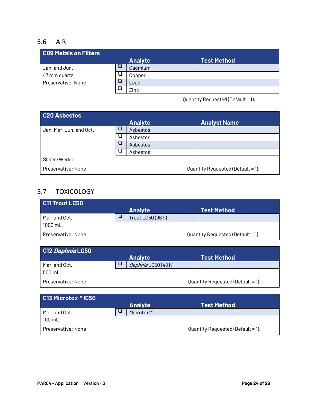#### 5.6 AIR

| C09 Metals on Filters |                |                    |
|-----------------------|----------------|--------------------|
|                       | <b>Analyte</b> | <b>Test Method</b> |
| Jan. and Jun.         | Cadmium        |                    |
| 47 mm quartz          | Copper         |                    |
| Preservative: None    | Lead           |                    |
|                       | Zinc           |                    |
|                       |                |                    |

Quantity Requested (Default = 1):

| C20 Asbestos            |   |                |                                   |
|-------------------------|---|----------------|-----------------------------------|
|                         |   | <b>Analyte</b> | <b>Analyst Name</b>               |
| Jan. Mar. Jun. and Oct. |   | Asbestos       |                                   |
|                         | ┘ | Asbestos       |                                   |
|                         |   | Asbestos       |                                   |
|                         |   | Asbestos       |                                   |
| Slides/Wedge            |   |                |                                   |
| Preservative: None      |   |                | Quantity Requested (Default = 1): |

# 5.7 TOXICOLOGY

| <b>C11 Trout LC50</b> |                   |                                   |
|-----------------------|-------------------|-----------------------------------|
|                       | <b>Analyte</b>    | <b>Test Method</b>                |
| Mar. and Oct.         | Trout LC50 (96 h) |                                   |
| $1000 \text{ mL}$     |                   |                                   |
| Preservative: None    |                   | Quantity Requested (Default = 1): |

| C12 Daphnia LC50   |                     |                                   |
|--------------------|---------------------|-----------------------------------|
|                    | <b>Analyte</b>      | <b>Test Method</b>                |
| Mar. and Oct.      | Daphnia LC50 (48 h) |                                   |
| 500 mL             |                     |                                   |
| Preservative: None |                     | Quantity Requested (Default = 1): |

| C13 Microtox™ IC50 |                |                                   |
|--------------------|----------------|-----------------------------------|
|                    | <b>Analyte</b> | <b>Test Method</b>                |
| Mar. and Oct.      | Microtox™      |                                   |
| $100 \text{ mL}$   |                |                                   |
| Preservative: None |                | Quantity Requested (Default = 1): |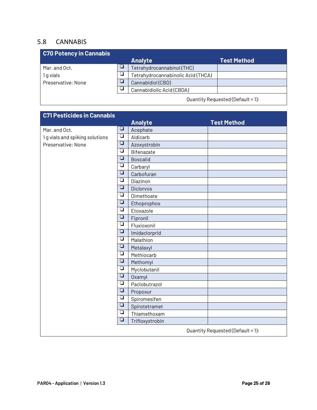#### 5.8 CANNABIS

| <b>C70 Potency in Cannabis</b> |                                    |                    |
|--------------------------------|------------------------------------|--------------------|
|                                | <b>Analyte</b>                     | <b>Test Method</b> |
| Mar. and Oct.                  | Tetrahydrocannabinol (THC)         |                    |
| 1 q vials                      | Tetrahydrocannabinolic Acid (THCA) |                    |
| Preservative: None             | Cannabidiol (CBD)                  |                    |
|                                | Cannabidiolic Acid (CBDA)          |                    |
|                                |                                    |                    |

Quantity Requested (Default = 1):

| <b>C71 Pesticides in Cannabis</b> |                                              |                 |                                   |
|-----------------------------------|----------------------------------------------|-----------------|-----------------------------------|
|                                   |                                              | <b>Analyte</b>  | <b>Test Method</b>                |
| Mar. and Oct.                     | $\Box$<br>ρ                                  | Acephate        |                                   |
| 1 g vials and spiking solutions   |                                              | Aldicarb        |                                   |
| Preservative: None                |                                              | Azoxystrobin    |                                   |
|                                   |                                              | Bifenazate      |                                   |
|                                   |                                              | <b>Boscalid</b> |                                   |
|                                   |                                              | Carbaryl        |                                   |
|                                   |                                              | Carbofuran      |                                   |
|                                   | $\Box$                                       | Diazinon        |                                   |
|                                   | $\Box$                                       | Diclorvos       |                                   |
|                                   | $\Box$                                       | Dimethoate      |                                   |
|                                   | $\Box$                                       | Ethoprophos     |                                   |
|                                   | $\Box$                                       | Etoxazole       |                                   |
|                                   | ⊔                                            | Fipronil        |                                   |
|                                   |                                              | Fluxioxonil     |                                   |
|                                   |                                              | Imidaclorprid   |                                   |
|                                   |                                              | Malathion       |                                   |
|                                   |                                              | Metalaxyl       |                                   |
|                                   | $\Box$                                       | Methiocarb      |                                   |
|                                   | $\Box$                                       | Methomyl        |                                   |
|                                   | $\Box$                                       | Myclobutanil    |                                   |
|                                   | $\Box$                                       | Oxamyl          |                                   |
|                                   | $\overline{\square}$                         | Paclobutrazol   |                                   |
|                                   | $\Box$                                       | Propoxur        |                                   |
|                                   | $\Box$                                       | Spiromesifen    |                                   |
|                                   | $\overline{\square}$<br>$\overline{\square}$ | Spirotetramet   |                                   |
|                                   |                                              | Thiamethoxam    |                                   |
|                                   | $\Box$                                       | Trifloxystrobin |                                   |
|                                   |                                              |                 | Quantity Requested (Default = 1): |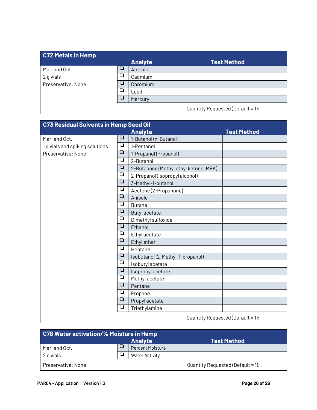### **C72 Metals in Hemp Analyte Test Method** Mar. and Oct.  $\begin{array}{|c|c|c|}\n\hline\nQ & \text{Arsenic} \\
\hline\n2 \text{ a vials} & \n\hline\n\end{array}$ 2 g vials  $\overline{Q}$  Cadmium<br>
Preservative: None Preservative: None  $\vert \Box \vert$  Chromium  $\begin{array}{|c|c|c|}\n\hline\n\hline\n\vdots\n\end{array}$  Lead **Mercury**

Quantity Requested (Default = 1):

| <b>C73 Residual Solvents in Hemp Seed Oil</b> |        |                                       |                                        |
|-----------------------------------------------|--------|---------------------------------------|----------------------------------------|
|                                               |        | <b>Analyte</b>                        | <b>Test Method</b>                     |
| Mar. and Oct.                                 | ⊔      | 1-Butanol (n-Butanol)                 |                                        |
| 1 g vials and spiking solutions               | ρ      | 1-Pentanol                            |                                        |
| Preservative: None                            | ❏      | 1-Propanol (Propanol)                 |                                        |
|                                               | ❏      | 2-Butanol                             |                                        |
|                                               | ❏      | 2-Butanone (Methyl ethyl ketone, MEK) |                                        |
|                                               | $\Box$ | 2-Propanol (Isopropyl alcohol)        |                                        |
|                                               | ❏      | 3-Methyl-1-butanol                    |                                        |
|                                               | ❏      | Acetone (2-Propanone)                 |                                        |
|                                               |        | Anisole                               |                                        |
|                                               | ❏      | <b>Butane</b>                         |                                        |
|                                               | ❏      | <b>Butyl acetate</b>                  |                                        |
|                                               |        | Dimethyl sulfoxide                    |                                        |
|                                               |        | Ethanol                               |                                        |
|                                               |        | Ethyl acetate                         |                                        |
|                                               |        | Ethyl ether                           |                                        |
|                                               | ❏      | Heptane                               |                                        |
|                                               | ❏      | Isobutanol (2-Methyl-1-propanol)      |                                        |
|                                               | ❏      | Isobutyl acetate                      |                                        |
|                                               | ❏      | Isopropyl acetate                     |                                        |
|                                               | ❏      | Methyl acetate                        |                                        |
|                                               | ❏      | Pentane                               |                                        |
|                                               | ❏      | Propane                               |                                        |
|                                               | ❏      | Propyl acetate                        |                                        |
|                                               | ❏      | Triethylamine                         |                                        |
|                                               |        |                                       | $Quant1 1 2 2 3 4 4 5 6 7 1 8 9 1 1 1$ |

Quantity Requested (Default = 1):

| <b>C78 Water activation/% Moisture in Hemp</b> |  |                         |                                   |
|------------------------------------------------|--|-------------------------|-----------------------------------|
|                                                |  | <b>Analyte</b>          | <b>Test Method</b>                |
| Mar. and Oct.                                  |  | <b>Percent Moisture</b> |                                   |
| 2 g vials                                      |  | <b>Water Activity</b>   |                                   |
| Preservative: None                             |  |                         | Quantity Requested (Default = 1): |